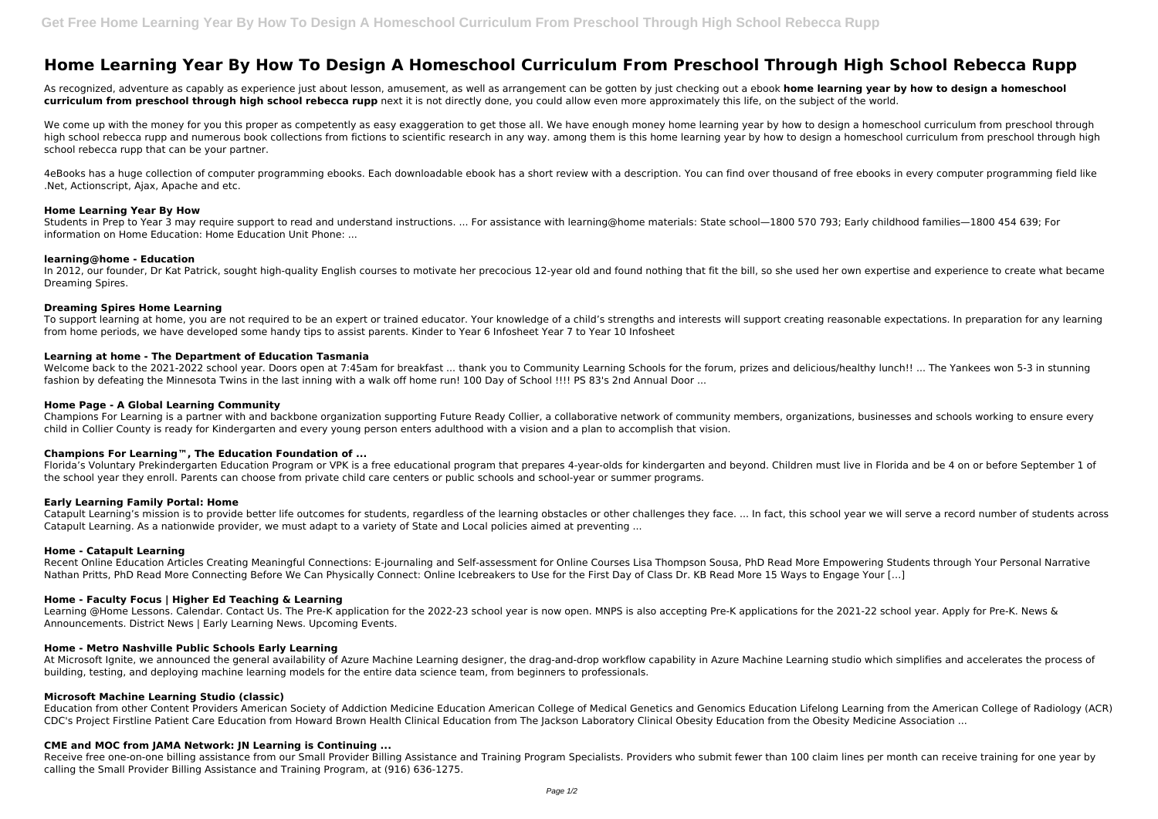# **Home Learning Year By How To Design A Homeschool Curriculum From Preschool Through High School Rebecca Rupp**

As recognized, adventure as capably as experience just about lesson, amusement, as well as arrangement can be gotten by just checking out a ebook **home learning year by how to design a homeschool curriculum from preschool through high school rebecca rupp** next it is not directly done, you could allow even more approximately this life, on the subject of the world.

We come up with the money for you this proper as competently as easy exaggeration to get those all. We have enough money home learning year by how to design a homeschool curriculum from preschool through high school rebecca rupp and numerous book collections from fictions to scientific research in any way. among them is this home learning year by how to design a homeschool curriculum from preschool through high school rebecca rupp that can be your partner.

In 2012, our founder, Dr Kat Patrick, sought high-quality English courses to motivate her precocious 12-year old and found nothing that fit the bill, so she used her own expertise and experience to create what became Dreaming Spires.

4eBooks has a huge collection of computer programming ebooks. Each downloadable ebook has a short review with a description. You can find over thousand of free ebooks in every computer programming field like .Net, Actionscript, Ajax, Apache and etc.

## **Home Learning Year By How**

Welcome back to the 2021-2022 school year. Doors open at 7:45am for breakfast ... thank you to Community Learning Schools for the forum, prizes and delicious/healthy lunch!! ... The Yankees won 5-3 in stunning fashion by defeating the Minnesota Twins in the last inning with a walk off home run! 100 Day of School !!!! PS 83's 2nd Annual Door ...

Students in Prep to Year 3 may require support to read and understand instructions. ... For assistance with learning@home materials: State school—1800 570 793; Early childhood families—1800 454 639; For information on Home Education: Home Education Unit Phone: ...

Champions For Learning is a partner with and backbone organization supporting Future Ready Collier, a collaborative network of community members, organizations, businesses and schools working to ensure every child in Collier County is ready for Kindergarten and every young person enters adulthood with a vision and a plan to accomplish that vision.

## **learning@home - Education**

## **Dreaming Spires Home Learning**

Catapult Learning's mission is to provide better life outcomes for students, regardless of the learning obstacles or other challenges they face. ... In fact, this school year we will serve a record number of students acros Catapult Learning. As a nationwide provider, we must adapt to a variety of State and Local policies aimed at preventing ...

To support learning at home, you are not required to be an expert or trained educator. Your knowledge of a child's strengths and interests will support creating reasonable expectations. In preparation for any learning from home periods, we have developed some handy tips to assist parents. Kinder to Year 6 Infosheet Year 7 to Year 10 Infosheet

## **Learning at home - The Department of Education Tasmania**

Learning @Home Lessons. Calendar. Contact Us. The Pre-K application for the 2022-23 school year is now open. MNPS is also accepting Pre-K applications for the 2021-22 school year. Apply for Pre-K. News & Announcements. District News | Early Learning News. Upcoming Events.

## **Home Page - A Global Learning Community**

Receive free one-on-one billing assistance from our Small Provider Billing Assistance and Training Program Specialists. Providers who submit fewer than 100 claim lines per month can receive training for one year by calling the Small Provider Billing Assistance and Training Program, at (916) 636-1275.

## **Champions For Learning™, The Education Foundation of ...**

Florida's Voluntary Prekindergarten Education Program or VPK is a free educational program that prepares 4-year-olds for kindergarten and beyond. Children must live in Florida and be 4 on or before September 1 of the school year they enroll. Parents can choose from private child care centers or public schools and school-year or summer programs.

#### **Early Learning Family Portal: Home**

#### **Home - Catapult Learning**

Recent Online Education Articles Creating Meaningful Connections: E-journaling and Self-assessment for Online Courses Lisa Thompson Sousa, PhD Read More Empowering Students through Your Personal Narrative Nathan Pritts, PhD Read More Connecting Before We Can Physically Connect: Online Icebreakers to Use for the First Day of Class Dr. KB Read More 15 Ways to Engage Your […]

# **Home - Faculty Focus | Higher Ed Teaching & Learning**

## **Home - Metro Nashville Public Schools Early Learning**

At Microsoft Ignite, we announced the general availability of Azure Machine Learning designer, the drag-and-drop workflow capability in Azure Machine Learning studio which simplifies and accelerates the process of building, testing, and deploying machine learning models for the entire data science team, from beginners to professionals.

# **Microsoft Machine Learning Studio (classic)**

Education from other Content Providers American Society of Addiction Medicine Education American College of Medical Genetics and Genomics Education Lifelong Learning from the American College of Radiology (ACR) CDC's Project Firstline Patient Care Education from Howard Brown Health Clinical Education from The Jackson Laboratory Clinical Obesity Education from the Obesity Medicine Association ...

## **CME and MOC from JAMA Network: JN Learning is Continuing ...**